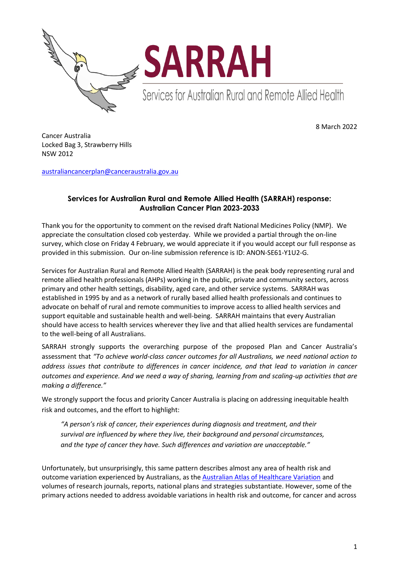



Services for Australian Rural and Remote Allied Health

8 March 2022

Cancer Australia Locked Bag 3, Strawberry Hills NSW 2012

[australiancancerplan@canceraustralia.gov.au](mailto:australiancancerplan@canceraustralia.gov.au)

## **Services for Australian Rural and Remote Allied Health (SARRAH) response: Australian Cancer Plan 2023-2033**

Thank you for the opportunity to comment on the revised draft National Medicines Policy (NMP). We appreciate the consultation closed cob yesterday. While we provided a partial through the on-line survey, which close on Friday 4 February, we would appreciate it if you would accept our full response as provided in this submission. Our on-line submission reference is ID: ANON-SE61-Y1U2-G.

Services for Australian Rural and Remote Allied Health (SARRAH) is the peak body representing rural and remote allied health professionals (AHPs) working in the public, private and community sectors, across primary and other health settings, disability, aged care, and other service systems. SARRAH was established in 1995 by and as a network of rurally based allied health professionals and continues to advocate on behalf of rural and remote communities to improve access to allied health services and support equitable and sustainable health and well-being. SARRAH maintains that every Australian should have access to health services wherever they live and that allied health services are fundamental to the well-being of all Australians.

SARRAH strongly supports the overarching purpose of the proposed Plan and Cancer Australia's assessment that *"To achieve world-class cancer outcomes for all Australians, we need national action to address issues that contribute to differences in cancer incidence, and that lead to variation in cancer outcomes and experience. And we need a way of sharing, learning from and scaling-up activities that are making a difference."*

We strongly support the focus and priority Cancer Australia is placing on addressing inequitable health risk and outcomes, and the effort to highlight:

*"A person's risk of cancer, their experiences during diagnosis and treatment, and their survival are influenced by where they live, their background and personal circumstances, and the type of cancer they have. Such differences and variation are unacceptable."*

Unfortunately, but unsurprisingly, this same pattern describes almost any area of health risk and outcome variation experienced by Australians, as the [Australian Atlas of Healthcare Variation](https://www.safetyandquality.gov.au/publications-and-resources/australian-atlas-healthcare-variation-series) and volumes of research journals, reports, national plans and strategies substantiate. However, some of the primary actions needed to address avoidable variations in health risk and outcome, for cancer and across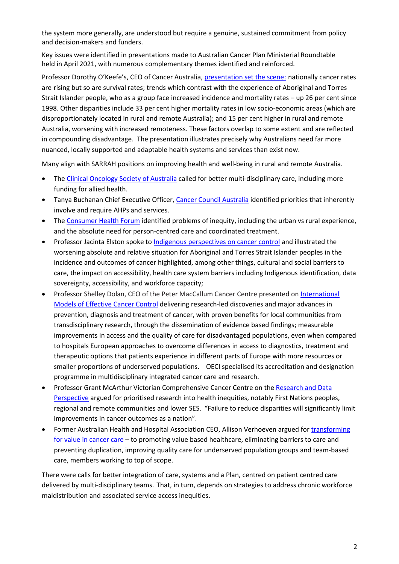the system more generally, are understood but require a genuine, sustained commitment from policy and decision-makers and funders.

Key issues were identified in presentations made to Australian Cancer Plan Ministerial Roundtable held in April 2021, with numerous complementary themes identified and reinforced.

Professor Dorothy O'Keefe's, CEO of Cancer Australia, [presentation set the scene:](https://www.canceraustralia.gov.au/sites/default/files/acp-ministerial-roundtable-opening-presentation-dorothy-keefe-apr2021.pdf) nationally cancer rates are rising but so are survival rates; trends which contrast with the experience of Aboriginal and Torres Strait Islander people, who as a group face increased incidence and mortality rates – up 26 per cent since 1998. Other disparities include 33 per cent higher mortality rates in low socio-economic areas (which are disproportionately located in rural and remote Australia); and 15 per cent higher in rural and remote Australia, worsening with increased remoteness. These factors overlap to some extent and are reflected in compounding disadvantage. The presentation illustrates precisely why Australians need far more nuanced, locally supported and adaptable health systems and services than exist now.

Many align with SARRAH positions on improving health and well-being in rural and remote Australia.

- Th[e Clinical Oncology Society of Australia](https://www.canceraustralia.gov.au/sites/default/files/clinical-care-and-research-fran-boyle-apr-2021.pdf) called for better multi-disciplinary care, including more funding for allied health.
- Tanya Buchanan Chief Executive Officer[, Cancer Council Australia](https://www.canceraustralia.gov.au/sites/default/files/considerations-from-the-cancercouncil-tanya-buchanan-apr-2021.pdf) identified priorities that inherently involve and require AHPs and services.
- Th[e Consumer Health Forum](https://www.canceraustralia.gov.au/sites/default/files/consumer-perspectives-for-the-australian-cancer-plan-leanne-wells-apr2021.pdf) identified problems of inequity, including the urban vs rural experience, and the absolute need for person-centred care and coordinated treatment.
- Professor Jacinta Elston spoke to [Indigenous perspectives on cancer control](https://www.canceraustralia.gov.au/sites/default/files/indigenous-perspectives-on-cancer-control-jacinta-elston-apr2021.pdf) and illustrated the worsening absolute and relative situation for Aboriginal and Torres Strait Islander peoples in the incidence and outcomes of cancer highlighted, among other things, cultural and social barriers to care, the impact on accessibility, health care system barriers including Indigenous identification, data sovereignty, accessibility, and workforce capacity;
- Professor Shelley Dolan, CEO of the Peter MacCallum Cancer Centre presented o[n International](https://www.canceraustralia.gov.au/sites/default/files/international-models-of-effective-cancer-control-shelley-dolan-apr-2021.pdf)  [Models of Effective Cancer Control](https://www.canceraustralia.gov.au/sites/default/files/international-models-of-effective-cancer-control-shelley-dolan-apr-2021.pdf) delivering research-led discoveries and major advances in prevention, diagnosis and treatment of cancer, with proven benefits for local communities from transdisciplinary research, through the dissemination of evidence based findings; measurable improvements in access and the quality of care for disadvantaged populations, even when compared to hospitals European approaches to overcome differences in access to diagnostics, treatment and therapeutic options that patients experience in different parts of Europe with more resources or smaller proportions of underserved populations. OECI specialised its accreditation and designation programme in multidisciplinary integrated cancer care and research.
- Professor Grant McArthur Victorian Comprehensive Cancer Centre on th[e Research and Data](https://www.canceraustralia.gov.au/sites/default/files/research-and-data-perspective-grant-mcarthur-apr-2021.pdf)  [Perspective](https://www.canceraustralia.gov.au/sites/default/files/research-and-data-perspective-grant-mcarthur-apr-2021.pdf) argued for prioritised research into health inequities, notably First Nations peoples, regional and remote communities and lower SES. "Failure to reduce disparities will significantly limit improvements in cancer outcomes as a nation".
- Former Australian Health and Hospital Association CEO, Allison Verhoeven argued for [transforming](https://www.canceraustralia.gov.au/sites/default/files/transforming-for-value-in-cancer-care-alison-verhoeven-apr-2021.pdf)  [for value in cancer care](https://www.canceraustralia.gov.au/sites/default/files/transforming-for-value-in-cancer-care-alison-verhoeven-apr-2021.pdf) – to promoting value based healthcare, eliminating barriers to care and preventing duplication, improving quality care for underserved population groups and team-based care, members working to top of scope.

There were calls for better integration of care, systems and a Plan, centred on patient centred care delivered by multi-disciplinary teams. That, in turn, depends on strategies to address chronic workforce maldistribution and associated service access inequities.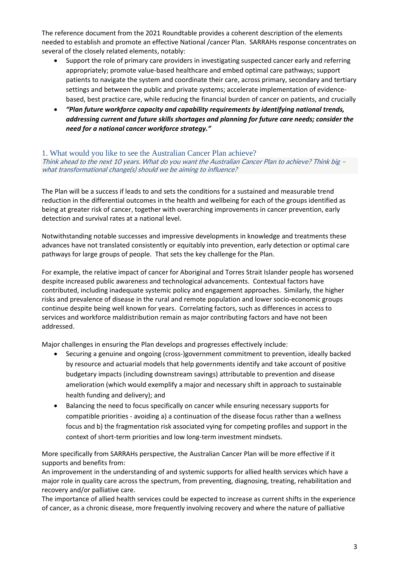The reference document from the 2021 Roundtable provides a coherent description of the elements needed to establish and promote an effective National /cancer Plan. SARRAHs response concentrates on several of the closely related elements, notably:

- Support the role of primary care providers in investigating suspected cancer early and referring appropriately; promote value-based healthcare and embed optimal care pathways; support patients to navigate the system and coordinate their care, across primary, secondary and tertiary settings and between the public and private systems; accelerate implementation of evidencebased, best practice care, while reducing the financial burden of cancer on patients, and crucially
- *"Plan future workforce capacity and capability requirements by identifying national trends, addressing current and future skills shortages and planning for future care needs; consider the need for a national cancer workforce strategy."*

## 1. What would you like to see the Australian Cancer Plan achieve?

Think ahead to the next 10 years. What do you want the Australian Cancer Plan to achieve? Think big – what transformational change(s) should we be aiming to influence?

The Plan will be a success if leads to and sets the conditions for a sustained and measurable trend reduction in the differential outcomes in the health and wellbeing for each of the groups identified as being at greater risk of cancer, together with overarching improvements in cancer prevention, early detection and survival rates at a national level.

Notwithstanding notable successes and impressive developments in knowledge and treatments these advances have not translated consistently or equitably into prevention, early detection or optimal care pathways for large groups of people. That sets the key challenge for the Plan.

For example, the relative impact of cancer for Aboriginal and Torres Strait Islander people has worsened despite increased public awareness and technological advancements. Contextual factors have contributed, including inadequate systemic policy and engagement approaches. Similarly, the higher risks and prevalence of disease in the rural and remote population and lower socio-economic groups continue despite being well known for years. Correlating factors, such as differences in access to services and workforce maldistribution remain as major contributing factors and have not been addressed.

Major challenges in ensuring the Plan develops and progresses effectively include:

- Securing a genuine and ongoing (cross-)government commitment to prevention, ideally backed by resource and actuarial models that help governments identify and take account of positive budgetary impacts (including downstream savings) attributable to prevention and disease amelioration (which would exemplify a major and necessary shift in approach to sustainable health funding and delivery); and
- Balancing the need to focus specifically on cancer while ensuring necessary supports for compatible priorities - avoiding a) a continuation of the disease focus rather than a wellness focus and b) the fragmentation risk associated vying for competing profiles and support in the context of short-term priorities and low long-term investment mindsets.

More specifically from SARRAHs perspective, the Australian Cancer Plan will be more effective if it supports and benefits from:

An improvement in the understanding of and systemic supports for allied health services which have a major role in quality care across the spectrum, from preventing, diagnosing, treating, rehabilitation and recovery and/or palliative care.

The importance of allied health services could be expected to increase as current shifts in the experience of cancer, as a chronic disease, more frequently involving recovery and where the nature of palliative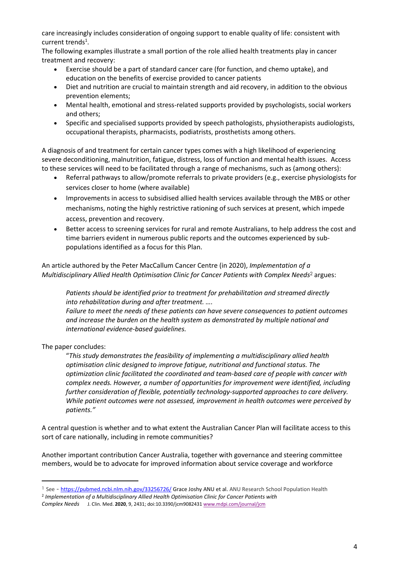care increasingly includes consideration of ongoing support to enable quality of life: consistent with current trends<sup>1</sup>.

The following examples illustrate a small portion of the role allied health treatments play in cancer treatment and recovery:

- Exercise should be a part of standard cancer care (for function, and chemo uptake), and education on the benefits of exercise provided to cancer patients
- Diet and nutrition are crucial to maintain strength and aid recovery, in addition to the obvious prevention elements;
- Mental health, emotional and stress-related supports provided by psychologists, social workers and others;
- Specific and specialised supports provided by speech pathologists, physiotherapists audiologists, occupational therapists, pharmacists, podiatrists, prosthetists among others.

A diagnosis of and treatment for certain cancer types comes with a high likelihood of experiencing severe deconditioning, malnutrition, fatigue, distress, loss of function and mental health issues. Access to these services will need to be facilitated through a range of mechanisms, such as (among others):

- Referral pathways to allow/promote referrals to private providers (e.g., exercise physiologists for services closer to home (where available)
- Improvements in access to subsidised allied health services available through the MBS or other mechanisms, noting the highly restrictive rationing of such services at present, which impede access, prevention and recovery.
- Better access to screening services for rural and remote Australians, to help address the cost and time barriers evident in numerous public reports and the outcomes experienced by subpopulations identified as a focus for this Plan.

An article authored by the Peter MacCallum Cancer Centre (in 2020), *Implementation of a Multidisciplinary Allied Health Optimisation Clinic for Cancer Patients with Complex Needs*<sup>2</sup> argues:

*Patients should be identified prior to treatment for prehabilitation and streamed directly into rehabilitation during and after treatment. ….*

*Failure to meet the needs of these patients can have severe consequences to patient outcomes and increase the burden on the health system as demonstrated by multiple national and international evidence-based guidelines.*

The paper concludes:

"*This study demonstrates the feasibility of implementing a multidisciplinary allied health optimisation clinic designed to improve fatigue, nutritional and functional status. The optimization clinic facilitated the coordinated and team-based care of people with cancer with complex needs. However, a number of opportunities for improvement were identified, including further consideration of flexible, potentially technology-supported approaches to care delivery. While patient outcomes were not assessed, improvement in health outcomes were perceived by patients."*

A central question is whether and to what extent the Australian Cancer Plan will facilitate access to this sort of care nationally, including in remote communities?

Another important contribution Cancer Australia, together with governance and steering committee members, would be to advocate for improved information about service coverage and workforce

<sup>&</sup>lt;sup>1</sup> See - <https://pubmed.ncbi.nlm.nih.gov/33256726/> Grace Joshy ANU et al. ANU Research School Population Health

<sup>2</sup> *Implementation of a Multidisciplinary Allied Health Optimisation Clinic for Cancer Patients with*

*Complex Needs*J. Clin. Med. **2020**, 9, 2431; doi:10.3390/jcm908243[1 www.mdpi.com/journal/jcm](http://www.mdpi.com/journal/jcm)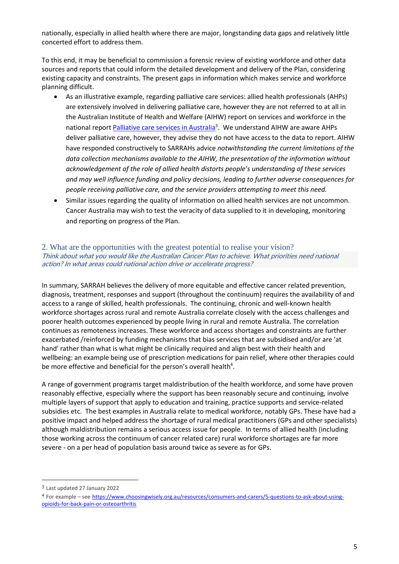nationally, especially in allied health where there are major, longstanding data gaps and relatively little concerted effort to address them.

To this end, it may be beneficial to commission a forensic review of existing workforce and other data sources and reports that could inform the detailed development and delivery of the Plan, considering existing capacity and constraints. The present gaps in information which makes service and workforce planning difficult.

- As an illustrative example, regarding palliative care services: allied health professionals (AHPs) are extensively involved in delivering palliative care, however they are not referred to at all in the Australian Institute of Health and Welfare (AIHW) report on services and workforce in the national report *Palliative care services in Australia*<sup>3</sup>. We understand AIHW are aware AHPs deliver palliative care, however, they advise they do not have access to the data to report. AIHW have responded constructively to SARRAHs advice *notwithstanding the current limitations of the data collection mechanisms available to the AIHW, the presentation of the information without acknowledgement of the role of allied health distorts people's understanding of these services and may well influence funding and policy decisions, leading to further adverse consequences for people receiving palliative care, and the service providers attempting to meet this need.*
- Similar issues regarding the quality of information on allied health services are not uncommon. Cancer Australia may wish to test the veracity of data supplied to it in developing, monitoring and reporting on progress of the Plan.

## 2. What are the opportunities with the greatest potential to realise your vision? Think about what you would like the Australian Cancer Plan to achieve. What priorities need national action? In what areas could national action drive or accelerate progress?

In summary, SARRAH believes the delivery of more equitable and effective cancer related prevention, diagnosis, treatment, responses and support (throughout the continuum) requires the availability of and access to a range of skilled, health professionals. The continuing, chronic and well-known health workforce shortages across rural and remote Australia correlate closely with the access challenges and poorer health outcomes experienced by people living in rural and remote Australia. The correlation continues as remoteness increases. These workforce and access shortages and constraints are further exacerbated /reinforced by funding mechanisms that bias services that are subsidised and/or are 'at hand' rather than what is what might be clinically required and align best with their health and wellbeing: an example being use of prescription medications for pain relief, where other therapies could be more effective and beneficial for the person's overall health<sup>4</sup>.

A range of government programs target maldistribution of the health workforce, and some have proven reasonably effective, especially where the support has been reasonably secure and continuing, involve multiple layers of support that apply to education and training, practice supports and service-related subsidies etc. The best examples in Australia relate to medical workforce, notably GPs. These have had a positive impact and helped address the shortage of rural medical practitioners (GPs and other specialists) although maldistribution remains a serious access issue for people. In terms of allied health (including those working across the continuum of cancer related care) rural workforce shortages are far more severe - on a per head of population basis around twice as severe as for GPs.

<sup>3</sup> Last updated 27 January 2022

<sup>4</sup> For example – see [https://www.choosingwisely.org.au/resources/consumers-and-carers/5-questions-to-ask-about-using](https://www.choosingwisely.org.au/resources/consumers-and-carers/5-questions-to-ask-about-using-opioids-for-back-pain-or-osteoarthritis)[opioids-for-back-pain-or-osteoarthritis](https://www.choosingwisely.org.au/resources/consumers-and-carers/5-questions-to-ask-about-using-opioids-for-back-pain-or-osteoarthritis)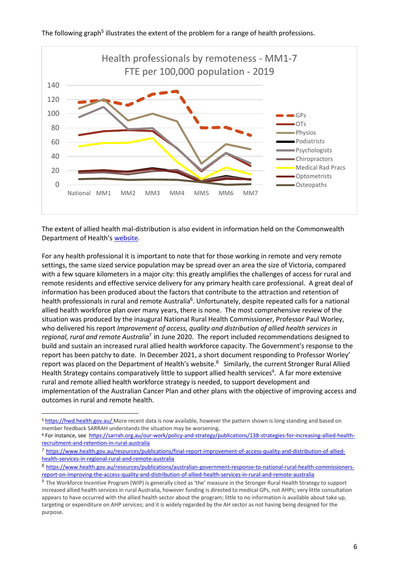

The following graph<sup>5</sup> illustrates the extent of the problem for a range of health professions.

The extent of allied health mal-distribution is also evident in information held on the Commonwealth Department of Health's [website.](https://www.health.gov.au/health-topics/allied-health/in-australia#organisations)

For any health professional it is important to note that for those working in remote and very remote settings, the same sized service population may be spread over an area the size of Victoria, compared with a few square kilometers in a major city: this greatly amplifies the challenges of access for rural and remote residents and effective service delivery for any primary health care professional. A great deal of information has been produced about the factors that contribute to the attraction and retention of health professionals in rural and remote Australia<sup>6</sup>. Unfortunately, despite repeated calls for a national allied health workforce plan over many years, there is none. The most comprehensive review of the situation was produced by the inaugural National Rural Health Commissioner, Professor Paul Worley, who delivered his report *Improvement of access, quality and distribution of allied health services in*  regional, rural and remote Australia<sup>7</sup> in June 2020. The report included recommendations designed to build and sustain an increased rural allied health workforce capacity. The Government's response to the report has been patchy to date. In December 2021, a short document responding to Professor Worley' report was placed on the Department of Health's website.<sup>8</sup> Similarly, the current Stronger Rural Allied Health Strategy contains comparatively little to support allied health services<sup>9</sup>. A far more extensive rural and remote allied health workforce strategy is needed, to support development and implementation of the Australian Cancer Plan and other plans with the objective of improving access and outcomes in rural and remote health.

<sup>&</sup>lt;sup>5</sup> <https://hwd.health.gov.au/> More recent data is now available, however the pattern shown is long standing and based on member feedback SARRAH understands the situation may be worsening.

<sup>6</sup> For instance, see [https://sarrah.org.au/our-work/policy-and-strategy/publications/138-strategies-for-increasing-allied-health](https://sarrah.org.au/our-work/policy-and-strategy/publications/138-strategies-for-increasing-allied-health-recruitment-and-retention-in-rural-australia)[recruitment-and-retention-in-rural-australia](https://sarrah.org.au/our-work/policy-and-strategy/publications/138-strategies-for-increasing-allied-health-recruitment-and-retention-in-rural-australia)

<sup>7</sup> https://www.health.gov.au/resources/publications/final-report-improvement-of-access-quality-and-distribution-of-alliedhealth-services-in-regional-rural-and-remote-australia

<sup>8</sup> https://www.health.gov.au/resources/publications/australian-government-response-to-national-rural-health-commissionersreport-on-improving-the-access-quality-and-distribution-of-allied-health-services-in-rural-and-remote-australia

<sup>9</sup> The Workforce Incentive Program (WIP) is generally cited as 'the' measure in the Stronger Rural Health Strategy to support increased allied health services in rural Australia, however funding is directed to medical GPs, not AHPs; very little consultation appears to have occurred with the allied health sector about the program; little to no information is available about take up, targeting or expenditure on AHP services; and it is widely regarded by the AH sector as not having being designed for the purpose.